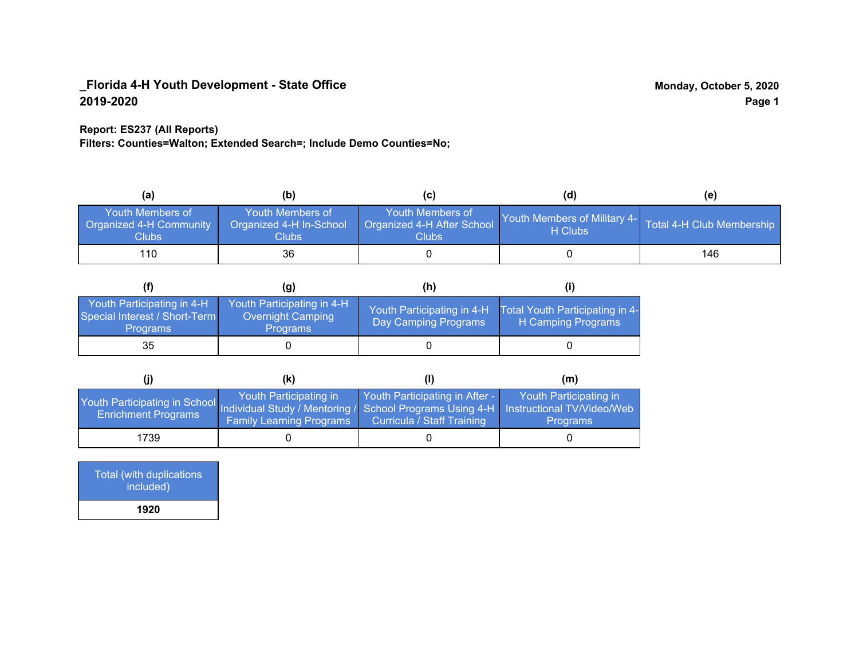## **Report: ES237 (All Reports)**

**Filters: Counties=Walton; Extended Search=; Include Demo Counties=No;**

| (a)                                                                | (b)                                                               | (C)                                                            | (d)                                                               | (e) |
|--------------------------------------------------------------------|-------------------------------------------------------------------|----------------------------------------------------------------|-------------------------------------------------------------------|-----|
| <b>Youth Members of</b><br><b>Organized 4-H Community</b><br>Clubs | Youth Members of<br>Organized 4-H In-School<br>Clubs <sub>.</sub> | Youth Members of<br>Organized 4-H After School<br><b>Clubs</b> | Youth Members of Military 4- Total 4-H Club Membership<br>H Clubs |     |
| 110                                                                | 36                                                                |                                                                |                                                                   | 146 |

|                                                                                | (g)                                                                | (h)                                                |                                                       |
|--------------------------------------------------------------------------------|--------------------------------------------------------------------|----------------------------------------------------|-------------------------------------------------------|
| Youth Participating in 4-H<br>Special Interest / Short-Term<br><b>Programs</b> | Youth Participating in 4-H<br>Overnight Camping<br><b>Programs</b> | Youth Participating in 4-H<br>Day Camping Programs | Total Youth Participating in 4-<br>H Camping Programs |
| 35                                                                             |                                                                    |                                                    |                                                       |

|                                                                                                                                                   | (K)                                                       |                                                                     | (m)                                       |
|---------------------------------------------------------------------------------------------------------------------------------------------------|-----------------------------------------------------------|---------------------------------------------------------------------|-------------------------------------------|
| Youth Participating in School Individual Study / Mentoring / School Programs Using 4-H   Instructional TV/Video/Web<br><b>Enrichment Programs</b> | Youth Participating in<br><b>Family Learning Programs</b> | Youth Participating in After -<br><b>Curricula / Staff Training</b> | Youth Participating in<br><b>Programs</b> |
| 1739                                                                                                                                              |                                                           |                                                                     |                                           |

| Total (with duplications<br>included) |
|---------------------------------------|
| 1920                                  |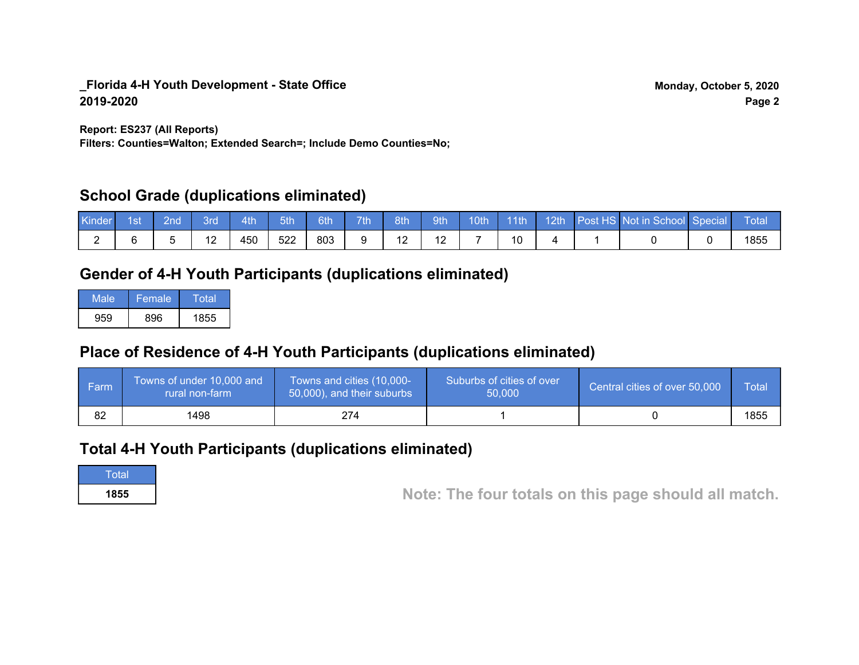**Report: ES237 (All Reports)**

**Filters: Counties=Walton; Extended Search=; Include Demo Counties=No;**

# **School Grade (duplications eliminated)**

| Kinder | 1st | ?nd | 3rd             | 4th | 5th | 6th | 7 <sup>th</sup> | 8th        | 9th | 10 <sub>th</sub> | $\parallel$ 11th | 12th | Post HS Not in School Special | Total |
|--------|-----|-----|-----------------|-----|-----|-----|-----------------|------------|-----|------------------|------------------|------|-------------------------------|-------|
|        |     |     | $\sqrt{2}$<br>∠ | 450 | 522 | 803 |                 | $\epsilon$ |     |                  | ັບ               |      |                               | 1855  |

# **Gender of 4-H Youth Participants (duplications eliminated)**

| Male | 'Female | Total |
|------|---------|-------|
| 959  | 896     | 1855  |

# **Place of Residence of 4-H Youth Participants (duplications eliminated)**

| l Farm | Towns of under 10,000 and<br>rural non-farm | Towns and cities (10,000-<br>50,000), and their suburbs | Suburbs of cities of over<br>50,000 | Central cities of over 50,000 | Total |
|--------|---------------------------------------------|---------------------------------------------------------|-------------------------------------|-------------------------------|-------|
| 82     | 1498                                        | 274                                                     |                                     |                               | 1855  |

## **Total 4-H Youth Participants (duplications eliminated)**

**Total** 

**<sup>1855</sup> Note: The four totals on this page should all match.**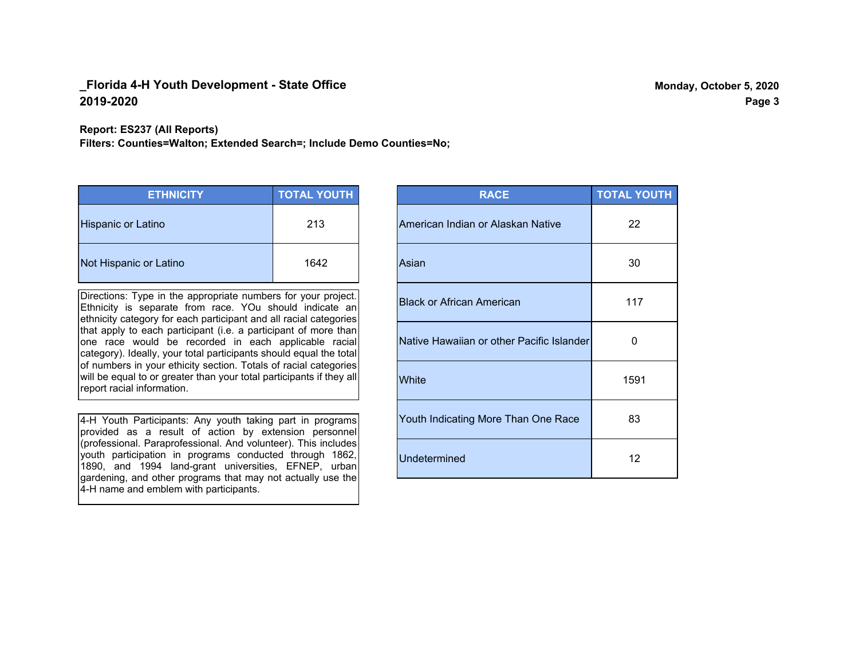#### **Report: ES237 (All Reports)**

**Filters: Counties=Walton; Extended Search=; Include Demo Counties=No;**

| <b>ETHNICITY</b>          | <b>TOTAL YOUTH</b> |
|---------------------------|--------------------|
| <b>Hispanic or Latino</b> | 213                |
| Not Hispanic or Latino    | 1642               |

Directions: Type in the appropriate numbers for your project. Ethnicity is separate from race. YOu should indicate an ethnicity category for each participant and all racial categories that apply to each participant (i.e. a participant of more than one race would be recorded in each applicable racial category). Ideally, your total participants should equal the total of numbers in your ethicity section. Totals of racial categories will be equal to or greater than your total participants if they all report racial information.

4-H Youth Participants: Any youth taking part in programs provided as a result of action by extension personnel (professional. Paraprofessional. And volunteer). This includes youth participation in programs conducted through 1862, 1890, and 1994 land-grant universities, EFNEP, urban gardening, and other programs that may not actually use the 4-H name and emblem with participants.

| <b>RACE</b>                               | <b>TOTAL YOUTH</b> |
|-------------------------------------------|--------------------|
| American Indian or Alaskan Native         | 22                 |
| Asian                                     | 30                 |
| <b>Black or African American</b>          | 117                |
| Native Hawaiian or other Pacific Islander | 0                  |
| White                                     | 1591               |
| Youth Indicating More Than One Race       | 83                 |
| <b>Undetermined</b>                       | 12                 |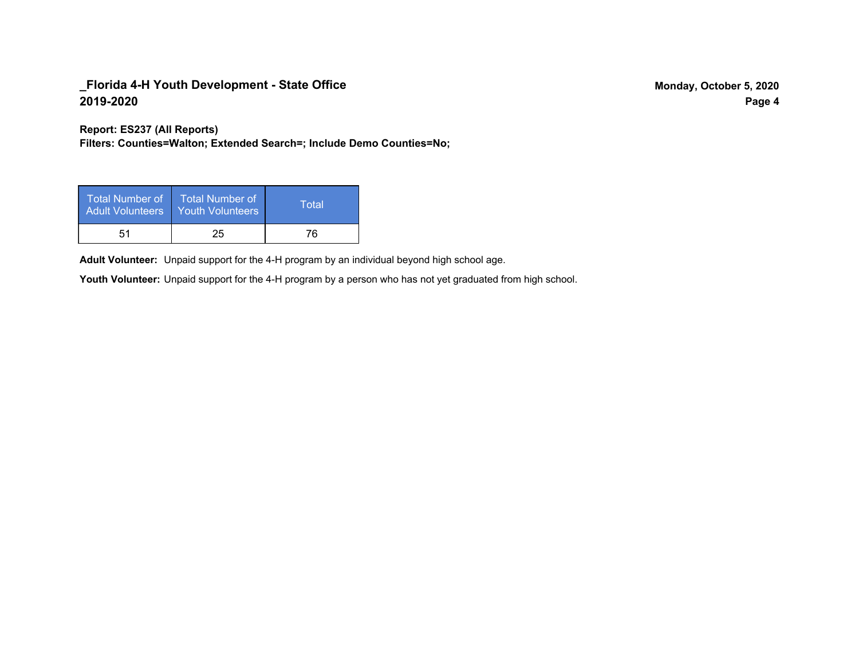**Report: ES237 (All Reports)**

**Filters: Counties=Walton; Extended Search=; Include Demo Counties=No;**

| Total Number of<br><b>Adult Volunteers</b> | <b>Total Number of</b><br>Youth Volunteers | Total |
|--------------------------------------------|--------------------------------------------|-------|
| 51                                         | 25                                         | 76    |

Adult Volunteer: Unpaid support for the 4-H program by an individual beyond high school age.

Youth Volunteer: Unpaid support for the 4-H program by a person who has not yet graduated from high school.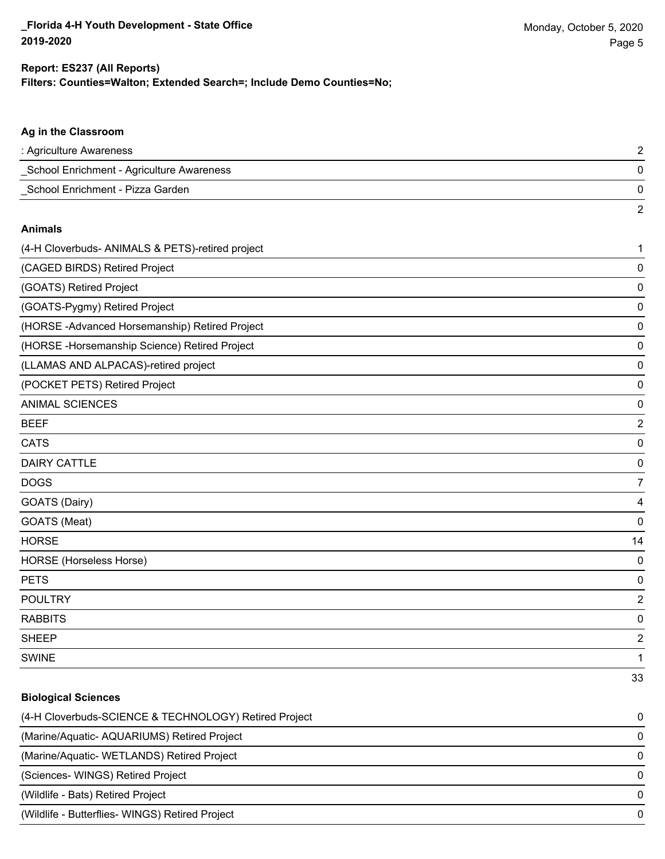2

### **Ag in the Classroom**

| : Agriculture Awareness                   |  |
|-------------------------------------------|--|
| School Enrichment - Agriculture Awareness |  |
| School Enrichment - Pizza Garden          |  |

#### **Animals**

| (4-H Cloverbuds- ANIMALS & PETS)-retired project | 1                       |
|--------------------------------------------------|-------------------------|
| (CAGED BIRDS) Retired Project                    | 0                       |
| (GOATS) Retired Project                          | 0                       |
| (GOATS-Pygmy) Retired Project                    | 0                       |
| (HORSE -Advanced Horsemanship) Retired Project   | 0                       |
| (HORSE-Horsemanship Science) Retired Project     | 0                       |
| (LLAMAS AND ALPACAS)-retired project             | 0                       |
| (POCKET PETS) Retired Project                    | 0                       |
| <b>ANIMAL SCIENCES</b>                           | 0                       |
| <b>BEEF</b>                                      | $\overline{2}$          |
| <b>CATS</b>                                      | 0                       |
| <b>DAIRY CATTLE</b>                              | 0                       |
| <b>DOGS</b>                                      | 7                       |
| GOATS (Dairy)                                    | 4                       |
| GOATS (Meat)                                     | 0                       |
| <b>HORSE</b>                                     | 14                      |
| HORSE (Horseless Horse)                          | 0                       |
| <b>PETS</b>                                      | 0                       |
| <b>POULTRY</b>                                   | $\overline{2}$          |
| <b>RABBITS</b>                                   | 0                       |
| <b>SHEEP</b>                                     | $\overline{\mathbf{c}}$ |
| <b>SWINE</b>                                     | 1                       |
|                                                  | 33                      |

#### **Biological Sciences**

| (4-H Cloverbuds-SCIENCE & TECHNOLOGY) Retired Project | 0        |
|-------------------------------------------------------|----------|
| (Marine/Aquatic-AQUARIUMS) Retired Project            | $\Omega$ |
| (Marine/Aquatic-WETLANDS) Retired Project             | $\Omega$ |
| (Sciences- WINGS) Retired Project                     | 0        |
| (Wildlife - Bats) Retired Project                     | $\Omega$ |
| (Wildlife - Butterflies- WINGS) Retired Project       | 0        |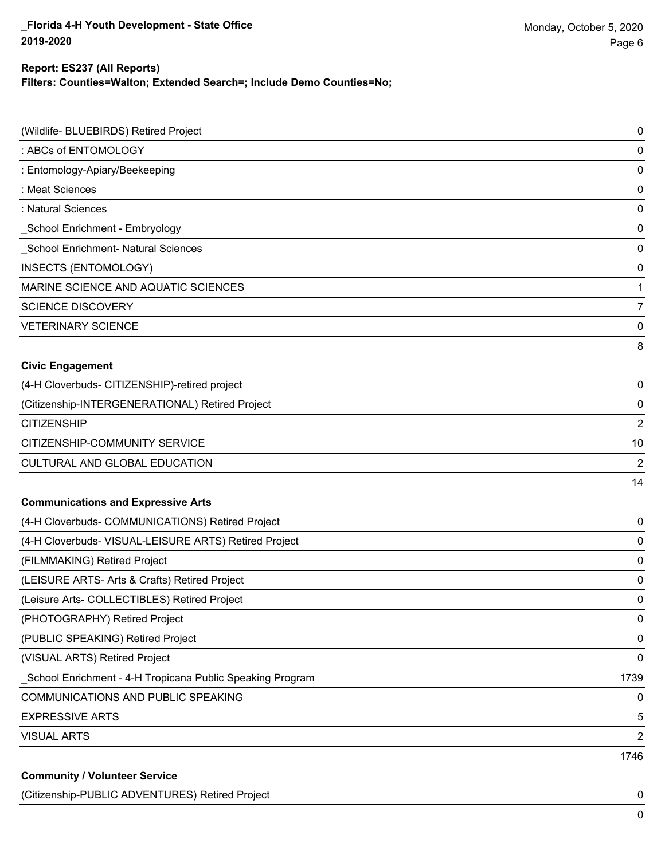## **Filters: Counties=Walton; Extended Search=; Include Demo Counties=No; Report: ES237 (All Reports)**

| (Wildlife- BLUEBIRDS) Retired Project                      | 0              |
|------------------------------------------------------------|----------------|
| : ABCs of ENTOMOLOGY                                       | 0              |
| : Entomology-Apiary/Beekeeping                             | 0              |
| : Meat Sciences                                            | 0              |
| : Natural Sciences                                         | 0              |
| _School Enrichment - Embryology                            | 0              |
| School Enrichment- Natural Sciences                        | 0              |
| <b>INSECTS (ENTOMOLOGY)</b>                                | 0              |
| MARINE SCIENCE AND AQUATIC SCIENCES                        | 1              |
| <b>SCIENCE DISCOVERY</b>                                   | 7              |
| <b>VETERINARY SCIENCE</b>                                  | 0              |
|                                                            | 8              |
| <b>Civic Engagement</b>                                    |                |
| (4-H Cloverbuds- CITIZENSHIP)-retired project              | 0              |
| (Citizenship-INTERGENERATIONAL) Retired Project            | 0              |
| <b>CITIZENSHIP</b>                                         | $\overline{2}$ |
| CITIZENSHIP-COMMUNITY SERVICE                              | 10             |
| CULTURAL AND GLOBAL EDUCATION                              | 2              |
|                                                            | 14             |
| <b>Communications and Expressive Arts</b>                  |                |
| (4-H Cloverbuds- COMMUNICATIONS) Retired Project           | 0              |
| (4-H Cloverbuds- VISUAL-LEISURE ARTS) Retired Project      | 0              |
| (FILMMAKING) Retired Project                               | 0              |
| (LEISURE ARTS- Arts & Crafts) Retired Project              | 0              |
| (Leisure Arts- COLLECTIBLES) Retired Project               | 0              |
| (PHOTOGRAPHY) Retired Project                              | 0              |
| (PUBLIC SPEAKING) Retired Project                          | 0              |
| (VISUAL ARTS) Retired Project                              | 0              |
| _School Enrichment - 4-H Tropicana Public Speaking Program | 1739           |
| COMMUNICATIONS AND PUBLIC SPEAKING                         | 0              |
| <b>EXPRESSIVE ARTS</b>                                     | 5              |
| <b>VISUAL ARTS</b>                                         | 2              |
|                                                            | 1746           |
| <b>Community / Volunteer Service</b>                       |                |

(Citizenship-PUBLIC ADVENTURES) Retired Project 0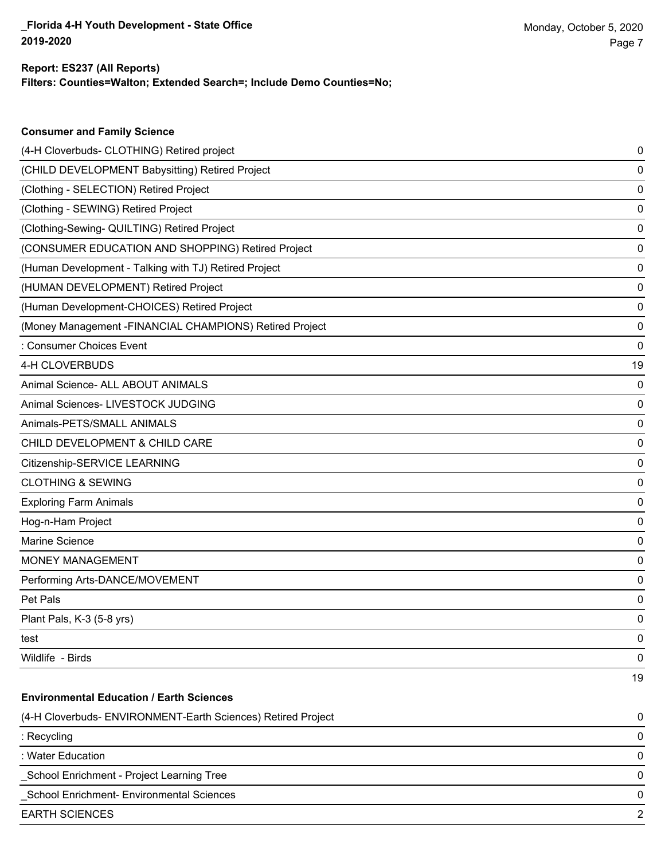**Consumer and Family Science**

## **Filters: Counties=Walton; Extended Search=; Include Demo Counties=No; Report: ES237 (All Reports)**

| (4-H Cloverbuds- CLOTHING) Retired project                   | 0  |
|--------------------------------------------------------------|----|
| (CHILD DEVELOPMENT Babysitting) Retired Project              | 0  |
| (Clothing - SELECTION) Retired Project                       | 0  |
| (Clothing - SEWING) Retired Project                          | 0  |
| (Clothing-Sewing- QUILTING) Retired Project                  | 0  |
| (CONSUMER EDUCATION AND SHOPPING) Retired Project            | 0  |
| (Human Development - Talking with TJ) Retired Project        | 0  |
| (HUMAN DEVELOPMENT) Retired Project                          | 0  |
| (Human Development-CHOICES) Retired Project                  | 0  |
| (Money Management -FINANCIAL CHAMPIONS) Retired Project      | 0  |
| : Consumer Choices Event                                     | 0  |
| 4-H CLOVERBUDS                                               | 19 |
| Animal Science- ALL ABOUT ANIMALS                            | 0  |
| Animal Sciences- LIVESTOCK JUDGING                           | 0  |
| Animals-PETS/SMALL ANIMALS                                   | 0  |
| CHILD DEVELOPMENT & CHILD CARE                               | 0  |
| Citizenship-SERVICE LEARNING                                 | 0  |
| <b>CLOTHING &amp; SEWING</b>                                 | 0  |
| <b>Exploring Farm Animals</b>                                | 0  |
| Hog-n-Ham Project                                            | 0  |
| Marine Science                                               | 0  |
| MONEY MANAGEMENT                                             | 0  |
| Performing Arts-DANCE/MOVEMENT                               | 0  |
| Pet Pals                                                     | 0  |
| Plant Pals, K-3 (5-8 yrs)                                    | 0  |
| test                                                         | 0  |
| Wildlife - Birds                                             | 0  |
|                                                              | 19 |
| <b>Environmental Education / Earth Sciences</b>              |    |
| (4-H Cloverbuds- ENVIRONMENT-Earth Sciences) Retired Project | 0  |
| : Recycling                                                  | 0  |
| : Water Education                                            | 0  |
| School Enrichment - Project Learning Tree                    | 0  |
| School Enrichment- Environmental Sciences                    | 0  |
| <b>EARTH SCIENCES</b>                                        | 2  |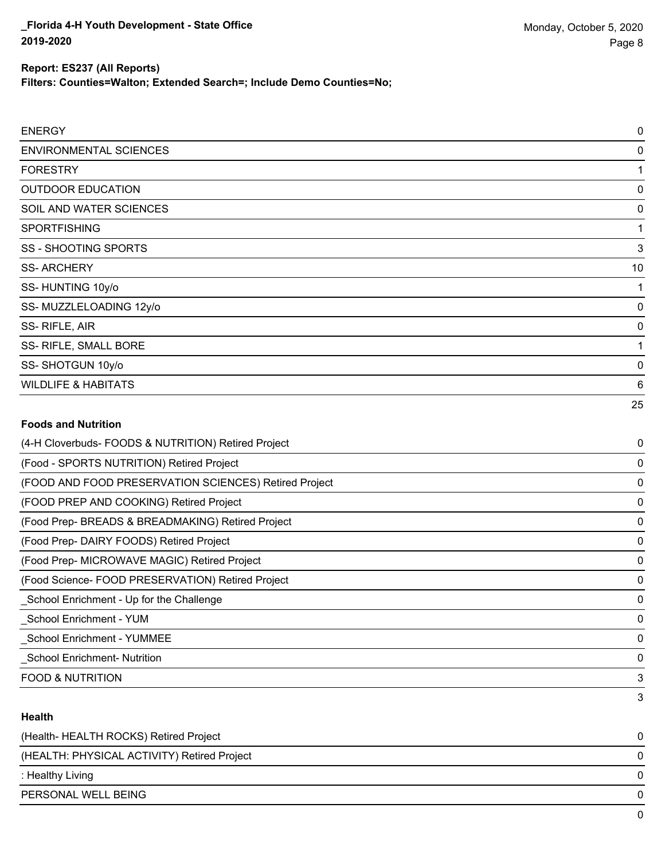**Filters: Counties=Walton; Extended Search=; Include Demo Counties=No;**

| <b>ENERGY</b>                                       | 0        |
|-----------------------------------------------------|----------|
| <b>ENVIRONMENTAL SCIENCES</b>                       | 0        |
| <b>FORESTRY</b>                                     |          |
| <b>OUTDOOR EDUCATION</b>                            | 0        |
| SOIL AND WATER SCIENCES                             | 0        |
| <b>SPORTFISHING</b>                                 |          |
| SS - SHOOTING SPORTS                                | 3        |
| <b>SS-ARCHERY</b>                                   | 10       |
| SS-HUNTING 10y/o                                    |          |
| SS-MUZZLELOADING 12y/o                              | 0        |
| SS-RIFLE, AIR                                       | 0        |
| SS- RIFLE, SMALL BORE                               |          |
| SS-SHOTGUN 10y/o                                    | 0        |
| <b>WILDLIFE &amp; HABITATS</b>                      | 6        |
|                                                     | 25       |
| <b>Foods and Nutrition</b>                          |          |
| (4-H Cloverbuds- FOODS & NUTRITION) Retired Project | 0        |
| (Food - SPORTS NUTRITION) Retired Project           | $\Omega$ |

| (Food - SPORTS NUTRITION) Retired Project             | 0 |
|-------------------------------------------------------|---|
| (FOOD AND FOOD PRESERVATION SCIENCES) Retired Project | 0 |
| (FOOD PREP AND COOKING) Retired Project               | 0 |
| (Food Prep- BREADS & BREADMAKING) Retired Project     | 0 |
| (Food Prep- DAIRY FOODS) Retired Project              | 0 |
| (Food Prep- MICROWAVE MAGIC) Retired Project          | 0 |
| (Food Science-FOOD PRESERVATION) Retired Project      | 0 |
| School Enrichment - Up for the Challenge              | 0 |
| School Enrichment - YUM                               | 0 |
| <b>School Enrichment - YUMMEE</b>                     | 0 |
| <b>School Enrichment- Nutrition</b>                   | 0 |
| <b>FOOD &amp; NUTRITION</b>                           | 3 |
|                                                       | 3 |

## **Health**

| (Health-HEALTH ROCKS) Retired Project       | 0            |
|---------------------------------------------|--------------|
| (HEALTH: PHYSICAL ACTIVITY) Retired Project | 0            |
| : Healthy Living                            | 0            |
| PERSONAL WELL BEING                         | 0            |
|                                             | <sup>n</sup> |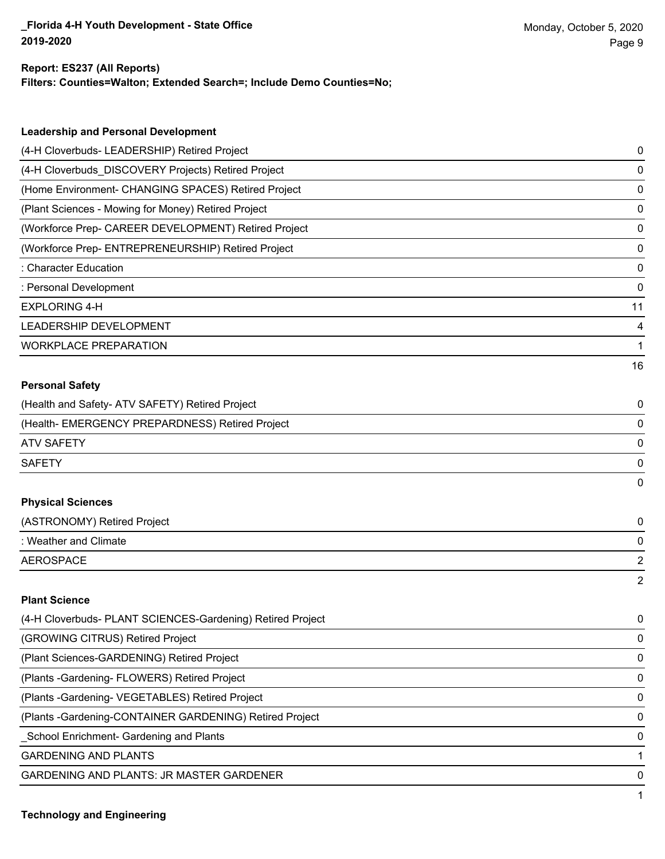### **Report: ES237 (All Reports)**

**Filters: Counties=Walton; Extended Search=; Include Demo Counties=No;**

| <b>Leadership and Personal Development</b>                 |    |
|------------------------------------------------------------|----|
| (4-H Cloverbuds- LEADERSHIP) Retired Project               | 0  |
| (4-H Cloverbuds_DISCOVERY Projects) Retired Project        | 0  |
| (Home Environment- CHANGING SPACES) Retired Project        | 0  |
| (Plant Sciences - Mowing for Money) Retired Project        | 0  |
| (Workforce Prep- CAREER DEVELOPMENT) Retired Project       | 0  |
| (Workforce Prep- ENTREPRENEURSHIP) Retired Project         | 0  |
| : Character Education                                      | 0  |
| : Personal Development                                     | 0  |
| <b>EXPLORING 4-H</b>                                       | 11 |
| LEADERSHIP DEVELOPMENT                                     | 4  |
| <b>WORKPLACE PREPARATION</b>                               | 1  |
|                                                            | 16 |
| <b>Personal Safety</b>                                     |    |
| (Health and Safety- ATV SAFETY) Retired Project            | 0  |
| (Health- EMERGENCY PREPARDNESS) Retired Project            | 0  |
| <b>ATV SAFETY</b>                                          | 0  |
| <b>SAFETY</b>                                              | 0  |
|                                                            | 0  |
| <b>Physical Sciences</b>                                   |    |
| (ASTRONOMY) Retired Project                                | 0  |
| : Weather and Climate                                      | 0  |
| <b>AEROSPACE</b>                                           | 2  |
|                                                            | 2  |
| <b>Plant Science</b>                                       |    |
| (4-H Cloverbuds- PLANT SCIENCES-Gardening) Retired Project | 0  |
| (GROWING CITRUS) Retired Project                           | 0  |
| (Plant Sciences-GARDENING) Retired Project                 | 0  |
| (Plants - Gardening - FLOWERS) Retired Project             | 0  |
| (Plants - Gardening- VEGETABLES) Retired Project           | 0  |
| (Plants - Gardening-CONTAINER GARDENING) Retired Project   | 0  |

\_School Enrichment- Gardening and Plants 0

GARDENING AND PLANTS 1

GARDENING AND PLANTS: JR MASTER GARDENER 0